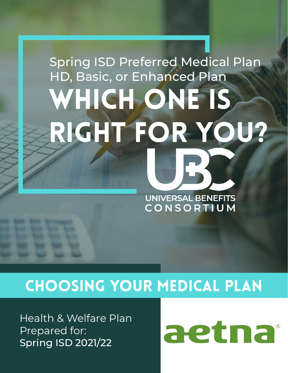# Spring ISD Preferred Medical Plan HD, Basic, or Enhanced PlanWHICH ONE IS RIGHT FOR YOU? **UNIVERSAL BENEFITS** CONSORTIUM

### Choosing Your Medical Plan

Health & Welfare Plan Prepared for: Spring ISD 2021/22

aetna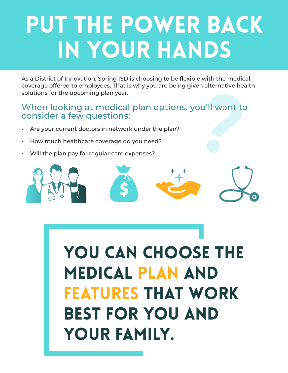# Put the power back in your hands

As a District of Innovation, Spring ISD is choosing to be flexible with the medical coverage offered to employees. That is why you are being given alternative health solutions for the upcoming plan year.

#### When looking at medical plan options, you'll want to consider a few questions:

- Are your current doctors in network under the plan?
- How much healthcare coverage do you need?
- Will the plan pay for regular care expenses?



YOU CAN CHOOSE THE medical plan and features that work best for you and your family.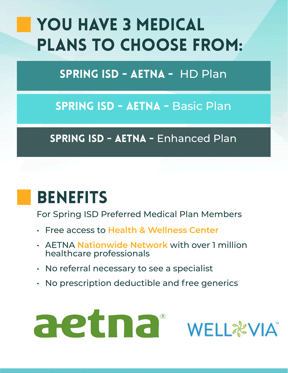# YOU HAVE 3 MEDICAL Plans to Choose From:

### SPRING ISD - Aetna - HD Plan

### SPRING ISD - AETNA - Basic Plan

### SPRING ISD - AETNA - Enhanced Plan

### BENEFITS

For Spring ISD Preferred Medical Plan Members

- Free access to **Health & Wellness Center**
- AETNA **Nationwide Network** with over 1 million healthcare professionals
- No referral necessary to see a specialist
- No prescription deductible and free generics



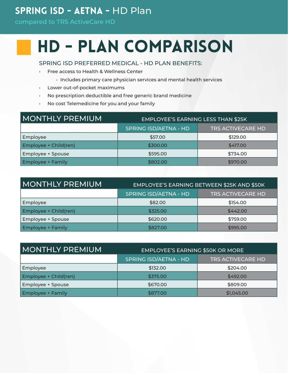#### SPRING ISD - Aetna - HD Plan

compared to TRS ActiveCare HD

## HD - Plan Comparison

SPRING ISD PREFERRED MEDICAL - HD PLAN BENEFITS:

- Free access to Health & Wellness Center
	- Includes primary care physician services and mental health services
- Lower out-of-pocket maximums
- No prescription deductible and free generic brand medicine
- No cost Telemedicine for you and your family

| MONTHLY PREMIUM          | <b>EMPLOYEE'S EARNING LESS THAN \$25K</b> |                          |  |
|--------------------------|-------------------------------------------|--------------------------|--|
|                          | <b>SPRING ISD/AETNA - HD</b>              | <b>TRS ACTIVECARE HD</b> |  |
| Employee                 | \$57.00                                   | \$129.00                 |  |
| Employee + Child(ren)    | \$300.00                                  | \$417.00                 |  |
| Employee + Spouse        | \$595.00                                  | \$734.00                 |  |
| <b>Employee + Family</b> | \$802.00                                  | \$970.00                 |  |

| <b>MONTHLY PREMIUM</b>   | EMPLOYEE'S EARNING BETWEEN \$25K AND \$50K |                          |  |  |
|--------------------------|--------------------------------------------|--------------------------|--|--|
|                          | <b>SPRING ISD/AETNA - HD</b>               | <b>TRS ACTIVECARE HD</b> |  |  |
| Employee                 | \$82.00                                    | \$154.00                 |  |  |
| Employee + Child(ren)    | \$325.00                                   | \$442.00                 |  |  |
| Employee + Spouse        | \$620.00                                   | \$759.00                 |  |  |
| <b>Employee + Family</b> | \$827.00                                   | \$995.00                 |  |  |

| MONTHLY PREMIUM          | <b>EMPLOYEE'S EARNING \$50K OR MORE</b> |                          |  |  |
|--------------------------|-----------------------------------------|--------------------------|--|--|
|                          | <b>SPRING ISD/AETNA - HD</b>            | <b>TRS ACTIVECARE HD</b> |  |  |
| <b>Employee</b>          | \$132.00                                | \$204.00                 |  |  |
| Employee + Child(ren)    | \$375.00                                | \$492.00                 |  |  |
| <b>Employee + Spouse</b> | \$670.00                                | \$809.00                 |  |  |
| <b>Employee + Family</b> | \$877.00                                | \$1,045.00               |  |  |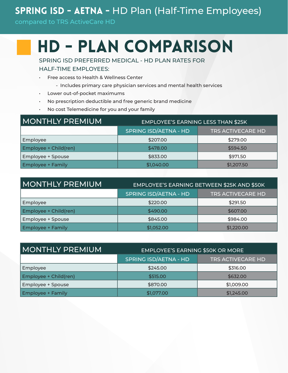#### SPRING ISD - AETNA - HD Plan (Half-Time Employees)

compared to TRS ActiveCare HD

### HD - Plan Comparison

SPRING ISD PREFERRED MEDICAL - HD PLAN RATES FOR

HALF-TIME EMPLOYEES:

- Free access to Health & Wellness Center
	- Includes primary care physician services and mental health services
- Lower out-of-pocket maximums
- No prescription deductible and free generic brand medicine
- No cost Telemedicine for you and your family

| MONTHLY PREMIUM          | <b>EMPLOYEE'S EARNING LESS THAN \$25K</b> |                          |  |  |
|--------------------------|-------------------------------------------|--------------------------|--|--|
|                          | <b>SPRING ISD/AETNA - HD</b>              | <b>TRS ACTIVECARE HD</b> |  |  |
| Employee                 | \$207.00                                  | \$279.00                 |  |  |
| Employee + Child(ren)    | \$478.00                                  | \$594.50                 |  |  |
| Employee + Spouse        | \$833.00                                  | \$971.50                 |  |  |
| <b>Employee + Family</b> | \$1,040.00                                | \$1,207.50               |  |  |

| <b>MONTHLY PREMIUM</b>   | EMPLOYEE'S EARNING BETWEEN \$25K AND \$50K |                          |  |
|--------------------------|--------------------------------------------|--------------------------|--|
|                          | <b>SPRING ISD/AETNA - HD</b>               | <b>TRS ACTIVECARE HD</b> |  |
| Employee                 | \$220.00                                   | \$291.50                 |  |
| Employee + Child(ren)    | \$490.00                                   | \$607.00                 |  |
| Employee + Spouse        | \$845.00                                   | \$984.00                 |  |
| <b>Employee + Family</b> | \$1,052.00                                 | \$1,220.00               |  |

| I MONTHLY PREMIUM        | <b>EMPLOYEE'S EARNING \$50K OR MORE</b> |                          |  |
|--------------------------|-----------------------------------------|--------------------------|--|
|                          | <b>SPRING ISD/AETNA - HD</b>            | <b>TRS ACTIVECARE HD</b> |  |
| Employee                 | \$245.00                                | \$316.00                 |  |
| Employee + Child(ren)    | \$515.00                                | \$632.00                 |  |
| Employee + Spouse        | \$870.00                                | \$1,009.00               |  |
| <b>Employee + Family</b> | \$1,077.00                              | \$1,245.00               |  |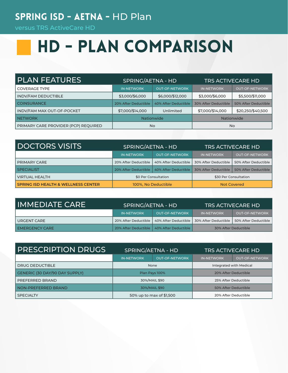#### SPRING ISD - AETNA - HD Plan

versus TRS ActiveCare HD

# HD - Plan Comparison

| <b>PLAN FEATURES</b>                 | SPRING/AETNA - HD    |                       | <b>TRS ACTIVECARE HD</b> |                       |
|--------------------------------------|----------------------|-----------------------|--------------------------|-----------------------|
| <b>COVERAGE TYPE</b>                 | <b>IN-NETWORK</b>    | <b>OUT-OF-NETWORK</b> | <b>IN-NETWORK</b>        | <b>OUT-OF-NETWORK</b> |
| <b>INDV/FAM DEDUCTIBLE</b>           | \$3,000/\$6,000      | \$6,000/\$12,000      | \$3,000/\$6,000          | \$5,500/\$11,000      |
| <b>COINSURANCE</b>                   | 20% After Deductible | 40% After Deductible  | 30% After Deductible     | 50% After Deductible  |
| INDV/FAM MAX OUT-OF-POCKET           | \$7,000/\$14,000     | Unlimited             | \$7,000/\$14,000         | \$20,250/\$40,500     |
| NETWORK                              | <b>Nationwide</b>    |                       |                          | <b>Nationwide</b>     |
| PRIMARY CARE PROVIDER (PCP) REQUIRED | No.                  |                       |                          | No.                   |

| <b>DOCTORS VISITS</b>                          | SPRING/AETNA - HD    |                                             | <b>TRS ACTIVECARE HD</b> |                       |
|------------------------------------------------|----------------------|---------------------------------------------|--------------------------|-----------------------|
|                                                | <b>IN-NETWORK</b>    | <b>OUT-OF-NETWORK</b>                       | <b>IN-NETWORK</b>        | <b>OUT-OF-NETWORK</b> |
| I PRIMARY CARE                                 | 20% After Deductible | 40% After Deductible                        | 30% After Deductible     | 50% After Deductible  |
| <b>SPECIALIST</b>                              |                      | 20% After Deductible   40% After Deductible | 30% After Deductible     | 50% After Deductible  |
| VIRTUAL HEALTH                                 | \$0 Per Consultation |                                             |                          | \$30 Per Consultation |
| <b>SPRING ISD HEALTH &amp; WELLNESS CENTER</b> | 100%, No Deductible  |                                             |                          | <b>Not Covered</b>    |

| IMMEDIATE CARE        | SPRING/AETNA - HD |                                             | <b>TRS ACTIVECARE HD</b> |                       |
|-----------------------|-------------------|---------------------------------------------|--------------------------|-----------------------|
|                       | <b>IN-NETWORK</b> | <b>OUT-OF-NETWORK</b>                       | <b>IN-NETWORK</b>        | <b>OUT-OF-NETWORK</b> |
| I URGENT CARE         |                   | 20% After Deductible   40% After Deductible | 30% After Deductible 1   | 50% After Deductible  |
| <b>EMERGENCY CARE</b> |                   | 20% After Deductible   40% After Deductible |                          | 30% After Deductible  |

| <b>PRESCRIPTION DRUGS</b>      | SPRING/AETNA - HD        |                       | <b>TRS ACTIVECARE HD</b> |                       |
|--------------------------------|--------------------------|-----------------------|--------------------------|-----------------------|
|                                | <b>IN-NETWORK</b>        | <b>OUT-OF-NETWORK</b> | <b>IN-NETWORK</b>        | <b>OUT-OF-NETWORK</b> |
| DRUG DEDUCTIBLE                | None                     |                       | Integrated with Medical  |                       |
| GENERIC (30 DAY/90 DAY SUPPLY) | Plan Pays 100%           |                       | 20% After Deductible     |                       |
| PREFERRED BRAND                | 30%/MAIL \$90            |                       | 25% After Deductible     |                       |
| <b>NON-PREFERRED BRAND</b>     | 30%/MAIL \$90            |                       |                          | 50% After Deductible  |
| <b>SPECIALTY</b>               | 50% up to max of \$1,500 |                       |                          | 20% After Deductible  |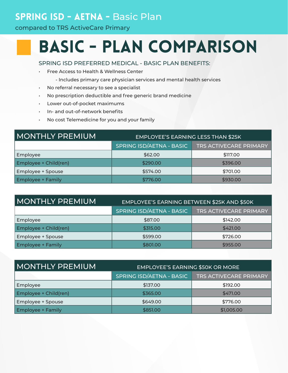#### SPRING ISD - AETNA - Basic Plan

compared to TRS ActiveCare Primary

### Basic - Plan Comparison

SPRING ISD PREFERRED MEDICAL - BASIC PLAN BENEFITS:

- Free Access to Health & Wellness Center
	- Includes primary care physician services and mental health services
- No referral necessary to see a specialist
- No prescription deductible and free generic brand medicine
- Lower out-of-pocket maximums
- In- and out-of-network benefits
- No cost Telemedicine for you and your family

| MONTHLY PREMIUM          | <b>EMPLOYEE'S EARNING LESS THAN \$25K</b> |                               |  |
|--------------------------|-------------------------------------------|-------------------------------|--|
|                          | <b>SPRING ISD/AETNA - BASIC</b>           | <b>TRS ACTIVECARE PRIMARY</b> |  |
| Employee                 | \$62.00                                   | \$117.00                      |  |
| Employee + Child(ren)    | \$290.00                                  | \$396.00                      |  |
| Employee + Spouse        | \$574.00                                  | \$701.00                      |  |
| <b>Employee + Family</b> | \$776.00                                  | \$930.00                      |  |

| MONTHLY PREMIUM.         | EMPLOYEE'S EARNING BETWEEN \$25K AND \$50K |                               |  |
|--------------------------|--------------------------------------------|-------------------------------|--|
|                          | SPRING ISD/AETNA - BASIC                   | <b>TRS ACTIVECARE PRIMARY</b> |  |
| Employee                 | \$87.00                                    | \$142.00                      |  |
| Employee + Child(ren)    | \$315.00                                   | \$421.00                      |  |
| Employee + Spouse        | \$599.00                                   | \$726.00                      |  |
| <b>Employee + Family</b> | \$801.00                                   | \$955.00                      |  |

| MONTHLY PREMIUM          | <b>EMPLOYEE'S EARNING \$50K OR MORE</b> |                               |  |
|--------------------------|-----------------------------------------|-------------------------------|--|
|                          | SPRING ISD/AETNA - BASIC                | <b>TRS ACTIVECARE PRIMARY</b> |  |
| Employee                 | \$137.00                                | \$192.00                      |  |
| Employee + Child(ren)    | \$365.00                                | \$471.00                      |  |
| Employee + Spouse        | \$649.00                                | \$776.00                      |  |
| <b>Employee + Family</b> | \$851.00                                | \$1,005.00                    |  |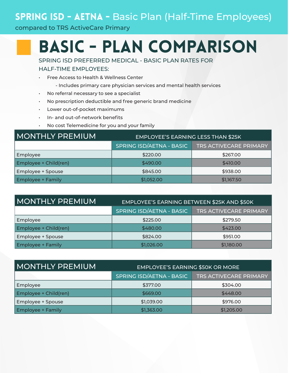#### SPRING ISD - AETNA - Basic Plan (Half-Time Employees)

#### compared to TRS ActiveCare Primary

### Basic - Plan Comparison

SPRING ISD PREFERRED MEDICAL - BASIC PLAN RATES FOR

HALF-TIME EMPLOYEES:

- Free Access to Health & Wellness Center
	- Includes primary care physician services and mental health services
- No referral necessary to see a specialist
- No prescription deductible and free generic brand medicine
- Lower out-of-pocket maximums
- In- and out-of-network benefits
- No cost Telemedicine for you and your family

| <b>MONTHLY PREMIUM</b>   | <b>EMPLOYEE'S EARNING LESS THAN \$25K</b> |                               |  |
|--------------------------|-------------------------------------------|-------------------------------|--|
|                          | SPRING ISD/AETNA - BASIC                  | <b>TRS ACTIVECARE PRIMARY</b> |  |
| Employee                 | \$220.00                                  | \$267.00                      |  |
| Employee + Child(ren)    | \$490.00                                  | \$410.00                      |  |
| Employee + Spouse        | \$845.00                                  | \$938.00                      |  |
| <b>Employee + Family</b> | \$1,052.00                                | \$1,167.50                    |  |

| MONTHLY PREMIUM          | EMPLOYEE'S EARNING BETWEEN \$25K AND \$50K                |            |  |
|--------------------------|-----------------------------------------------------------|------------|--|
|                          | SPRING ISD/AETNA - BASIC<br><b>TRS ACTIVECARE PRIMARY</b> |            |  |
| Employee                 | \$225.00                                                  | \$279.50   |  |
| Employee + Child(ren)    | \$480.00                                                  | \$423.00   |  |
| Employee + Spouse        | \$824.00                                                  | \$951.00   |  |
| <b>Employee + Family</b> | \$1,026.00                                                | \$1,180.00 |  |

| I MONTHLY PREMIUM        | <b>EMPLOYEE'S EARNING \$50K OR MORE</b> |                               |  |
|--------------------------|-----------------------------------------|-------------------------------|--|
|                          | SPRING ISD/AETNA - BASIC                | <b>TRS ACTIVECARE PRIMARY</b> |  |
| Employee                 | \$377.00                                | \$304.00                      |  |
| Employee + Child(ren)    | \$669.00                                | \$448.00                      |  |
| Employee + Spouse        | \$1,039.00                              | \$976.00                      |  |
| <b>Employee + Family</b> | \$1,363.00                              | \$1,205.00                    |  |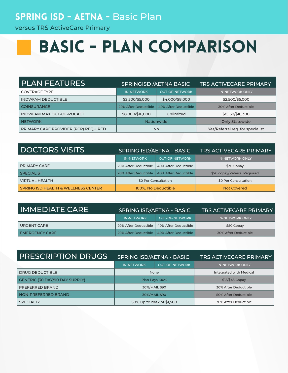#### SPRING ISD - AETNA - Basic Plan

versus TRS ActiveCare Primary

## Basic - Plan Comparison

| <b>PLAN FEATURES</b>                 | <b>SPRINGISD / AETNA BASIC</b> |                       | <b>TRS ACTIVECARE PRIMARY</b>    |
|--------------------------------------|--------------------------------|-----------------------|----------------------------------|
| <b>COVERAGE TYPE</b>                 | <b>IN-NETWORK</b>              | <b>OUT-OF-NETWORK</b> | <b>IN-NETWORK ONLY</b>           |
| <b>INDV/FAM DEDUCTIBLE</b>           | \$2,500/\$5,000                | \$4,000/\$8,000       | \$2,500/\$5,000                  |
| <b>COINSURANCE</b>                   | 20% After Deductible           | 40% After Deductible  | 30% After Deductible             |
| INDV/FAM MAX OUT-OF-POCKET           | \$8,000/\$16,000               | Unlimited             | \$8,150/\$16,300                 |
| <b>NETWORK</b>                       | <b>Nationwide</b>              |                       | <b>Only Statewide</b>            |
| PRIMARY CARE PROVIDER (PCP) REQUIRED | <b>No</b>                      |                       | Yes/Referral req. for specialist |

| <b>DOCTORS VISITS</b>                          | <b>SPRING ISD/AETNA - BASIC</b> |                       | <b>TRS ACTIVECARE PRIMARY</b> |
|------------------------------------------------|---------------------------------|-----------------------|-------------------------------|
|                                                | <b>IN-NETWORK</b>               | <b>OUT-OF-NETWORK</b> | <b>IN-NETWORK ONLY</b>        |
| <b>PRIMARY CARE</b>                            | 20% After Deductible            | 40% After Deductible  | \$30 Copay                    |
| <b>SPECIALIST</b>                              | 20% After Deductible 1          | 40% After Deductible  | \$70 copay/Referral Required  |
| <b>VIRTUAL HEALTH</b>                          | \$0 Per Consultation            |                       | \$0 Per Consultation          |
| <b>SPRING ISD HEALTH &amp; WELLNESS CENTER</b> | 100%, No Deductible             |                       | <b>Not Covered</b>            |

| IMMEDIATE CARE        | SPRING ISD/AETNA - BASIC |                                             | <b>TRS ACTIVECARE PRIMARY</b> |
|-----------------------|--------------------------|---------------------------------------------|-------------------------------|
|                       | <b>IN-NETWORK</b>        | <b>OUT-OF-NETWORK</b>                       | IN-NETWORK ONLY               |
| URGENT CARE           |                          | 20% After Deductible   40% After Deductible | \$50 Copay                    |
| <b>EMERGENCY CARE</b> |                          | 20% After Deductible   40% After Deductible | 30% After Deductible          |

| <b>PRESCRIPTION DRUGS</b>      | SPRING ISD/AETNA - BASIC |                       | <b>TRS ACTIVECARE PRIMARY</b> |
|--------------------------------|--------------------------|-----------------------|-------------------------------|
|                                | <b>IN-NETWORK</b>        | <b>OUT-OF-NETWORK</b> | <b>IN-NETWORK ONLY</b>        |
| DRUG DEDUCTIBLE                | None                     |                       | Integrated with Medical       |
| GENERIC (30 DAY/90 DAY SUPPLY) | Plan Pays 100%           |                       | \$15/\$45 Copay               |
| PREFERRED BRAND                | 30%/MAIL \$90            |                       | 30% After Deductible          |
| NON-PREFERRED BRAND            | 30%/MAIL \$90            |                       | 50% After Deductible          |
| <b>SPECIALTY</b>               | 50% up to max of \$1,500 |                       | 30% After Deductible          |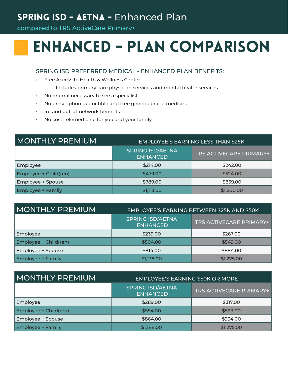#### SPRING ISD - AETNA - Enhanced Plan

compared to TRS ActiveCare Primary+

### Enhanced - Plan Comparison

#### SPRING ISD PREFERRED MEDICAL - ENHANCED PLAN BENEFITS:

- Free Access to Health & Wellness Center
	- Includes primary care physician services and mental health services
- No referral necessary to see a specialist
- No prescription deductible and free generic brand medicine
- In- and out-of-network benefits
- No cost Telemedicine for you and your family

| <b>MONTHLY PREMIUM</b>   | <b>EMPLOYEE'S EARNING LESS THAN \$25K</b>  |                         |  |
|--------------------------|--------------------------------------------|-------------------------|--|
|                          | <b>SPRING ISD/AETNA</b><br><b>ENHANCED</b> | TRS ACTIVECARE PRIMARY+ |  |
| Employee                 | \$214.00                                   | \$242.00                |  |
| Employee + Child(ren)    | \$479.00                                   | \$524.00                |  |
| Employee + Spouse        | \$789.00                                   | \$859.00                |  |
| <b>Employee + Family</b> | \$1,113.00                                 | \$1,200.00              |  |

| <b>MONTHLY PREMIUM</b>   | EMPLOYEE'S EARNING BETWEEN \$25K AND \$50K |                                |  |
|--------------------------|--------------------------------------------|--------------------------------|--|
|                          | <b>SPRING ISD/AETNA</b><br><b>ENHANCED</b> | <b>TRS ACTIVECARE PRIMARY+</b> |  |
| Employee                 | \$239.00                                   | \$267.00                       |  |
| Employee + Child(ren)    | \$504.00                                   | \$549.00                       |  |
| Employee + Spouse        | \$814.00                                   | \$884.00                       |  |
| <b>Employee + Family</b> | \$1,138.00                                 | \$1,225.00                     |  |

| <b>MONTHLY PREMIUM</b>   | <b>EMPLOYEE'S EARNING \$50K OR MORE</b>    |                         |  |
|--------------------------|--------------------------------------------|-------------------------|--|
|                          | <b>SPRING ISD/AETNA</b><br><b>ENHANCED</b> | TRS ACTIVECARE PRIMARY+ |  |
| Employee                 | \$289.00                                   | \$317.00                |  |
| Employee + Child(ren)    | \$554.00                                   | \$599.00                |  |
| <b>Employee + Spouse</b> | \$864.00                                   | \$934.00                |  |
| <b>Employee + Family</b> | \$1,188.00                                 | \$1,275.00              |  |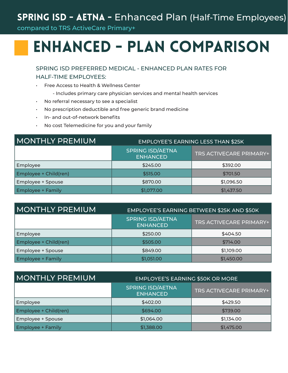#### SPRING ISD - AETNA - Enhanced Plan (Half-Time Employees)

compared to TRS ActiveCare Primary+

### Enhanced - Plan Comparison

SPRING ISD PREFERRED MEDICAL - ENHANCED PLAN RATES FOR

HALF-TIME EMPLOYEES:

- Free Access to Health & Wellness Center
	- Includes primary care physician services and mental health services
- No referral necessary to see a specialist
- No prescription deductible and free generic brand medicine
- In- and out-of-network benefits
- No cost Telemedicine for you and your family

| <b>IMONTHLY PREMIUM</b>  | <b>EMPLOYEE'S EARNING LESS THAN \$25K</b>  |                         |  |
|--------------------------|--------------------------------------------|-------------------------|--|
|                          | <b>SPRING ISD/AETNA</b><br><b>ENHANCED</b> | TRS ACTIVECARE PRIMARY+ |  |
| Employee                 | \$245.00                                   | \$392.00                |  |
| Employee + Child(ren)    | \$515.00                                   | \$701.50                |  |
| Employee + Spouse        | \$870.00                                   | \$1,096.50              |  |
| <b>Employee + Family</b> | \$1,077.00                                 | \$1,437.50              |  |

| MONTHLY PREMIUM          | EMPLOYEE'S EARNING BETWEEN \$25K AND \$50K |                         |  |
|--------------------------|--------------------------------------------|-------------------------|--|
|                          | <b>SPRING ISD/AETNA</b><br><b>ENHANCED</b> | TRS ACTIVECARE PRIMARY+ |  |
| Employee                 | \$250.00                                   | \$404.50                |  |
| Employee + Child(ren)    | \$505.00                                   | \$714.00                |  |
| Employee + Spouse        | \$849.00                                   | \$1,109.00              |  |
| <b>Employee + Family</b> | \$1,051.00                                 | \$1,450.00              |  |

| <b>MONTHLY PREMIUM</b>   | <b>EMPLOYEE'S EARNING \$50K OR MORE</b>    |                                |  |
|--------------------------|--------------------------------------------|--------------------------------|--|
|                          | <b>SPRING ISD/AETNA</b><br><b>ENHANCED</b> | <b>TRS ACTIVECARE PRIMARY+</b> |  |
| Employee                 | \$402.00                                   | \$429.50                       |  |
| Employee + Child(ren)    | \$694.00                                   | \$739.00                       |  |
| <b>Employee + Spouse</b> | \$1,064.00                                 | \$1,134.00                     |  |
| <b>Employee + Family</b> | \$1,388.00                                 | \$1,475.00                     |  |